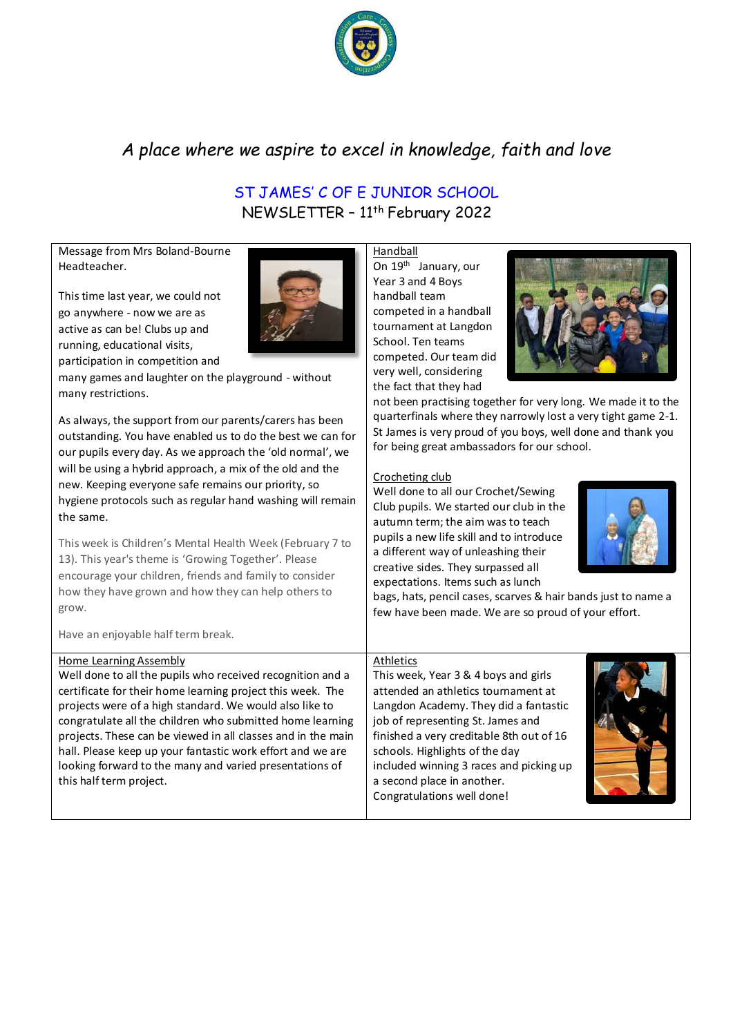

# *A place where we aspire to excel in knowledge, faith and love*

# ST JAMES' C OF E JUNIOR SCHOOL NEWSLETTER – 11th February 2022

Message from Mrs Boland-Bourne Headteacher.

This time last year, we could not go anywhere - now we are as active as can be! Clubs up and running, educational visits, participation in competition and



As always, the support from our parents/carers has been outstanding. You have enabled us to do the best we can for our pupils every day. As we approach the 'old normal', we will be using a hybrid approach, a mix of the old and the new. Keeping everyone safe remains our priority, so hygiene protocols such as regular hand washing will remain the same.

This week is Children's Mental Health Week (February 7 to 13). This year's theme is 'Growing Together'. Please encourage your children, friends and family to consider how they have grown and how they can help others to grow.

Have an enjoyable half term break.

## Home Learning Assembly

Well done to all the pupils who received recognition and a certificate for their home learning project this week. The projects were of a high standard. We would also like to congratulate all the children who submitted home learning projects. These can be viewed in all classes and in the main hall. Please keep up your fantastic work effort and we are looking forward to the many and varied presentations of this half term project.

Handball On 19<sup>th</sup> January, our Year 3 and 4 Boys handball team competed in a handball tournament at Langdon School. Ten teams competed. Our team did very well, considering the fact that they had



not been practising together for very long. We made it to the quarterfinals where they narrowly lost a very tight game 2-1. St James is very proud of you boys, well done and thank you for being great ambassadors for our school.

# Crocheting club

Well done to all our Crochet/Sewing Club pupils. We started our club in the autumn term; the aim was to teach pupils a new life skill and to introduce a different way of unleashing their creative sides. They surpassed all expectations. Items such as lunch



bags, hats, pencil cases, scarves & hair bands just to name a few have been made. We are so proud of your effort.

#### Athletics

This week, Year 3 & 4 boys and girls attended an athletics tournament at Langdon Academy. They did a fantastic job of representing St. James and finished a very creditable 8th out of 16 schools. Highlights of the day included winning 3 races and picking up a second place in another. Congratulations well done!

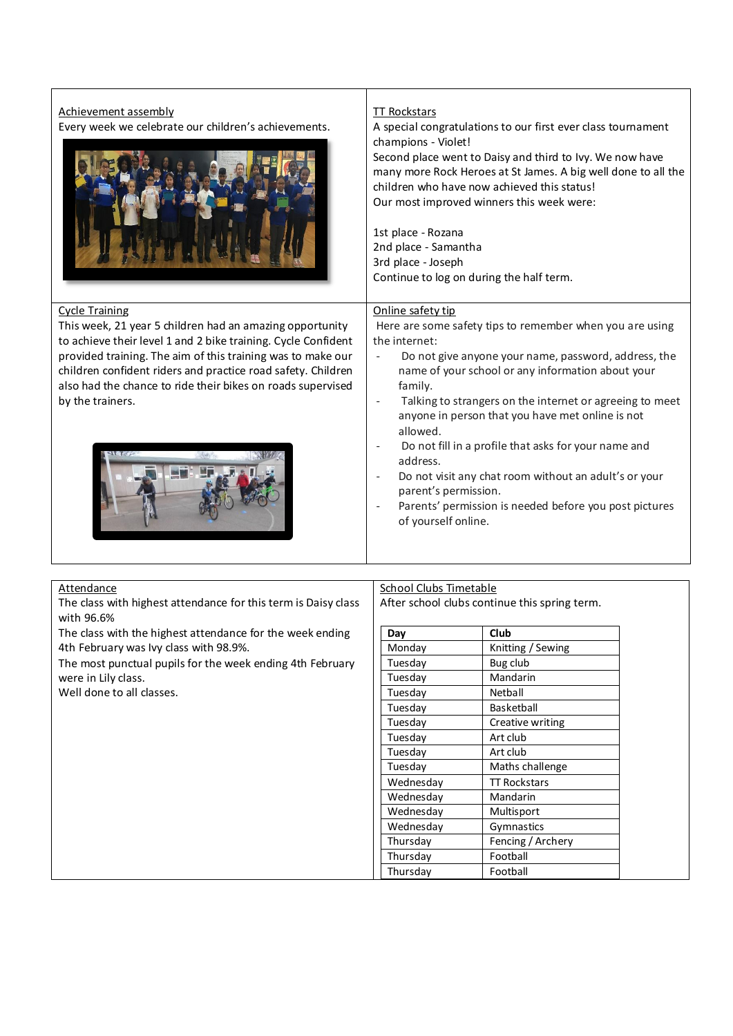| Achievement assembly<br>Every week we celebrate our children's achievements.                                                                                                                                                                                                                                                                                         | <b>TT Rockstars</b><br>A special congratulations to our first ever class tournament<br>champions - Violet!<br>Second place went to Daisy and third to Ivy. We now have<br>many more Rock Heroes at St James. A big well done to all the<br>children who have now achieved this status!<br>Our most improved winners this week were:<br>1st place - Rozana<br>2nd place - Samantha<br>3rd place - Joseph<br>Continue to log on during the half term.                |                     |
|----------------------------------------------------------------------------------------------------------------------------------------------------------------------------------------------------------------------------------------------------------------------------------------------------------------------------------------------------------------------|--------------------------------------------------------------------------------------------------------------------------------------------------------------------------------------------------------------------------------------------------------------------------------------------------------------------------------------------------------------------------------------------------------------------------------------------------------------------|---------------------|
| <b>Cycle Training</b><br>This week, 21 year 5 children had an amazing opportunity<br>to achieve their level 1 and 2 bike training. Cycle Confident<br>provided training. The aim of this training was to make our<br>children confident riders and practice road safety. Children<br>also had the chance to ride their bikes on roads supervised<br>by the trainers. | Online safety tip<br>Here are some safety tips to remember when you are using<br>the internet:<br>Do not give anyone your name, password, address, the<br>$\overline{\phantom{a}}$<br>name of your school or any information about your<br>family.<br>Talking to strangers on the internet or agreeing to meet<br>$\overline{\phantom{a}}$<br>anyone in person that you have met online is not<br>allowed.<br>Do not fill in a profile that asks for your name and |                     |
|                                                                                                                                                                                                                                                                                                                                                                      | address.<br>Do not visit any chat room without an adult's or your<br>parent's permission.<br>Parents' permission is needed before you post pictures<br>of yourself online.                                                                                                                                                                                                                                                                                         |                     |
| <b>Attendance</b>                                                                                                                                                                                                                                                                                                                                                    | <b>School Clubs Timetable</b>                                                                                                                                                                                                                                                                                                                                                                                                                                      |                     |
| The class with highest attendance for this term is Daisy class<br>with 96.6%                                                                                                                                                                                                                                                                                         | After school clubs continue this spring term.                                                                                                                                                                                                                                                                                                                                                                                                                      |                     |
| The class with the highest attendance for the week ending                                                                                                                                                                                                                                                                                                            | Day                                                                                                                                                                                                                                                                                                                                                                                                                                                                | Club                |
| 4th February was Ivy class with 98.9%.                                                                                                                                                                                                                                                                                                                               | Monday                                                                                                                                                                                                                                                                                                                                                                                                                                                             | Knitting / Sewing   |
| The most punctual pupils for the week ending 4th February                                                                                                                                                                                                                                                                                                            | Tuesday                                                                                                                                                                                                                                                                                                                                                                                                                                                            | Bug club            |
| were in Lily class.                                                                                                                                                                                                                                                                                                                                                  | Tuesday                                                                                                                                                                                                                                                                                                                                                                                                                                                            | Mandarin            |
| Well done to all classes.                                                                                                                                                                                                                                                                                                                                            | Tuesday                                                                                                                                                                                                                                                                                                                                                                                                                                                            | Netball             |
|                                                                                                                                                                                                                                                                                                                                                                      | Tuesday                                                                                                                                                                                                                                                                                                                                                                                                                                                            | Basketball          |
|                                                                                                                                                                                                                                                                                                                                                                      | Tuesday                                                                                                                                                                                                                                                                                                                                                                                                                                                            | Creative writing    |
|                                                                                                                                                                                                                                                                                                                                                                      | Tuesday                                                                                                                                                                                                                                                                                                                                                                                                                                                            | Art club            |
|                                                                                                                                                                                                                                                                                                                                                                      | Tuesday                                                                                                                                                                                                                                                                                                                                                                                                                                                            | Art club            |
|                                                                                                                                                                                                                                                                                                                                                                      | Tuesday                                                                                                                                                                                                                                                                                                                                                                                                                                                            | Maths challenge     |
|                                                                                                                                                                                                                                                                                                                                                                      | Wednesday                                                                                                                                                                                                                                                                                                                                                                                                                                                          | <b>TT Rockstars</b> |
|                                                                                                                                                                                                                                                                                                                                                                      | Wednesday                                                                                                                                                                                                                                                                                                                                                                                                                                                          | Mandarin            |
|                                                                                                                                                                                                                                                                                                                                                                      | Wednesday                                                                                                                                                                                                                                                                                                                                                                                                                                                          | Multisport          |
|                                                                                                                                                                                                                                                                                                                                                                      | Wednesday                                                                                                                                                                                                                                                                                                                                                                                                                                                          | Gymnastics          |
|                                                                                                                                                                                                                                                                                                                                                                      | Thursday                                                                                                                                                                                                                                                                                                                                                                                                                                                           | Fencing / Archery   |

Thursday Football Thursday Football